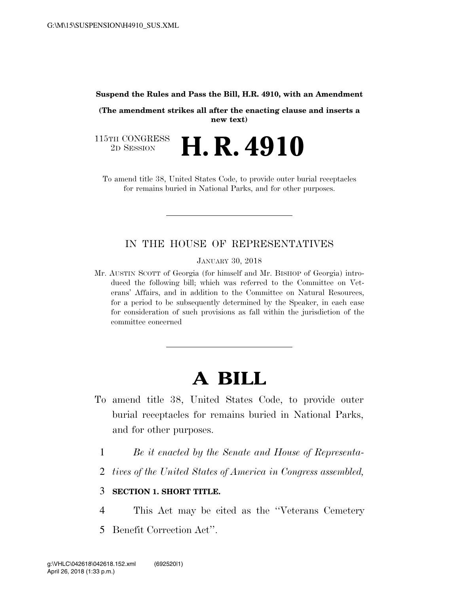## **Suspend the Rules and Pass the Bill, H.R. 4910, with an Amendment**

**(The amendment strikes all after the enacting clause and inserts a new text)** 

115TH CONGRESS<br>2D SESSION 2D SESSION **H. R. 4910** 

To amend title 38, United States Code, to provide outer burial receptacles for remains buried in National Parks, and for other purposes.

## IN THE HOUSE OF REPRESENTATIVES

JANUARY 30, 2018

Mr. AUSTIN SCOTT of Georgia (for himself and Mr. BISHOP of Georgia) introduced the following bill; which was referred to the Committee on Veterans' Affairs, and in addition to the Committee on Natural Resources, for a period to be subsequently determined by the Speaker, in each case for consideration of such provisions as fall within the jurisdiction of the committee concerned

## **A BILL**

- To amend title 38, United States Code, to provide outer burial receptacles for remains buried in National Parks, and for other purposes.
	- 1 *Be it enacted by the Senate and House of Representa-*
	- 2 *tives of the United States of America in Congress assembled,*

## 3 **SECTION 1. SHORT TITLE.**

- 4 This Act may be cited as the ''Veterans Cemetery
- 5 Benefit Correction Act''.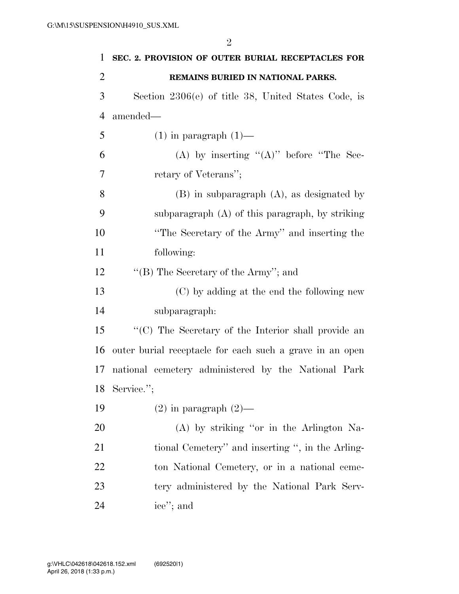| 1              | SEC. 2. PROVISION OF OUTER BURIAL RECEPTACLES FOR        |
|----------------|----------------------------------------------------------|
| $\overline{2}$ | REMAINS BURIED IN NATIONAL PARKS.                        |
| 3              | Section $2306(e)$ of title 38, United States Code, is    |
| $\overline{4}$ | amended—                                                 |
| 5              | $(1)$ in paragraph $(1)$ —                               |
| 6              | (A) by inserting " $(A)$ " before "The Sec-              |
| 7              | retary of Veterans";                                     |
| 8              | $(B)$ in subparagraph $(A)$ , as designated by           |
| 9              | subparagraph $(A)$ of this paragraph, by striking        |
| 10             | "The Secretary of the Army" and inserting the            |
| 11             | following:                                               |
| 12             | "(B) The Secretary of the Army"; and                     |
| 13             | (C) by adding at the end the following new               |
| 14             | subparagraph:                                            |
| 15             | "(C) The Secretary of the Interior shall provide an      |
| 16             | outer burial receptacle for each such a grave in an open |
| 17             | national cemetery administered by the National Park      |
| 18             | Service.";                                               |
| 19             | $(2)$ in paragraph $(2)$ —                               |
| 20             | (A) by striking "or in the Arlington Na-                 |
| 21             | tional Cemetery" and inserting ", in the Arling-         |
| 22             | ton National Cemetery, or in a national ceme-            |
| 23             | tery administered by the National Park Serv-             |
| 24             | ice"; and                                                |

April 26, 2018 (1:33 p.m.) g:\VHLC\042618\042618.152.xml (692520|1)